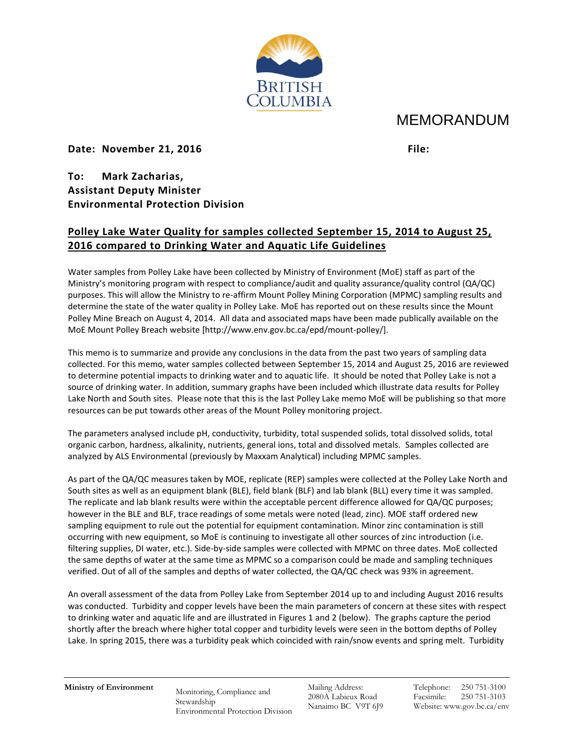

## MEMORANDUM

**Date: November 21, 2016 File:**

**To: Mark Zacharias, Assistant Deputy Minister Environmental Protection Division**

## **Polley Lake Water Quality for samples collected September 15, 2014 to August 25, 2016 compared to Drinking Water and Aquatic Life Guidelines**

Water samples from Polley Lake have been collected by Ministry of Environment (MoE) staff as part of the Ministry's monitoring program with respect to compliance/audit and quality assurance/quality control (QA/QC) purposes. This will allow the Ministry to re-affirm Mount Polley Mining Corporation (MPMC) sampling results and determine the state of the water quality in Polley Lake. MoE has reported out on these results since the Mount Polley Mine Breach on August 4, 2014. All data and associated maps have been made publically available on the MoE Mount Polley Breach website [http://www.env.gov.bc.ca/epd/mount-polley/].

This memo is to summarize and provide any conclusions in the data from the past two years of sampling data collected. For this memo, water samples collected between September 15, 2014 and August 25, 2016 are reviewed to determine potential impacts to drinking water and to aquatic life. It should be noted that Polley Lake is not a source of drinking water. In addition, summary graphs have been included which illustrate data results for Polley Lake North and South sites. Please note that this is the last Polley Lake memo MoE will be publishing so that more resources can be put towards other areas of the Mount Polley monitoring project.

The parameters analysed include pH, conductivity, turbidity, total suspended solids, total dissolved solids, total organic carbon, hardness, alkalinity, nutrients, general ions, total and dissolved metals. Samples collected are analyzed by ALS Environmental (previously by Maxxam Analytical) including MPMC samples.

As part of the QA/QC measures taken by MOE, replicate (REP) samples were collected at the Polley Lake North and South sites as well as an equipment blank (BLE), field blank (BLF) and lab blank (BLL) every time it was sampled. The replicate and lab blank results were within the acceptable percent difference allowed for QA/QC purposes; however in the BLE and BLF, trace readings of some metals were noted (lead, zinc). MOE staff ordered new sampling equipment to rule out the potential for equipment contamination. Minor zinc contamination is still occurring with new equipment, so MoE is continuing to investigate all other sources of zinc introduction (i.e. filtering supplies, DI water, etc.). Side-by-side samples were collected with MPMC on three dates. MoE collected the same depths of water at the same time as MPMC so a comparison could be made and sampling techniques verified. Out of all of the samples and depths of water collected, the QA/QC check was 93% in agreement.

An overall assessment of the data from Polley Lake from September 2014 up to and including August 2016 results was conducted. Turbidity and copper levels have been the main parameters of concern at these sites with respect to drinking water and aquatic life and are illustrated in Figures 1 and 2 (below). The graphs capture the period shortly after the breach where higher total copper and turbidity levels were seen in the bottom depths of Polley Lake. In spring 2015, there was a turbidity peak which coincided with rain/snow events and spring melt. Turbidity

**Ministry of Environment** Monitoring, Compliance and Stewardship Environmental Protection Division Mailing Address: 2080A Labieux Road Nanaimo BC V9T 6J9 Telephone: 250 751-3100 Facsimile: 250 751-3103 Website: www.gov.bc.ca/env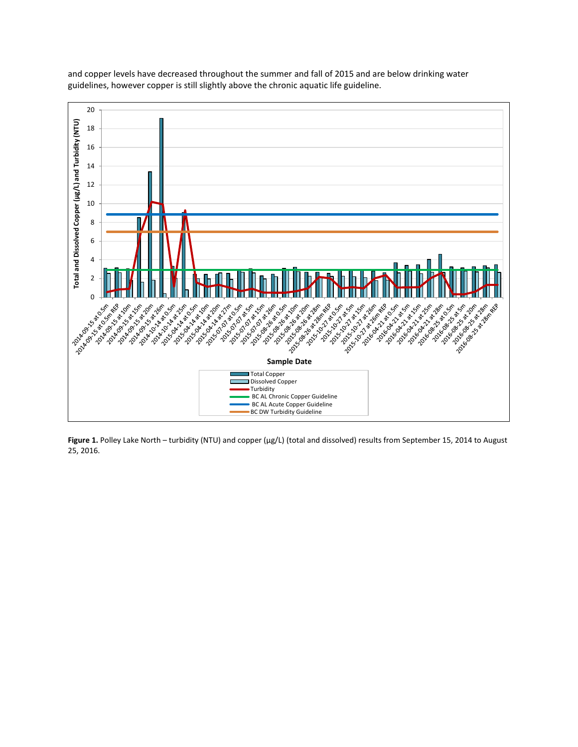

and copper levels have decreased throughout the summer and fall of 2015 and are below drinking water guidelines, however copper is still slightly above the chronic aquatic life guideline.

Figure 1. Polley Lake North – turbidity (NTU) and copper (µg/L) (total and dissolved) results from September 15, 2014 to August 25, 2016.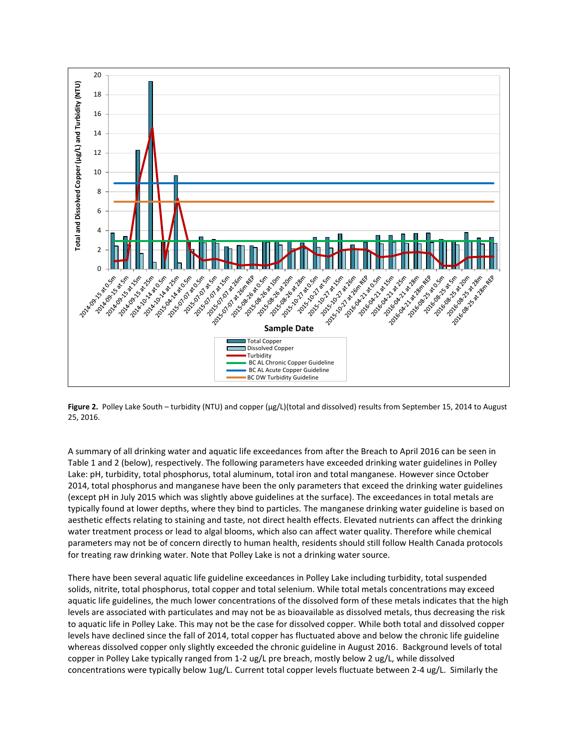

**Figure 2.** Polley Lake South – turbidity (NTU) and copper (µg/L)(total and dissolved) results from September 15, 2014 to August 25, 2016.

A summary of all drinking water and aquatic life exceedances from after the Breach to April 2016 can be seen in Table 1 and 2 (below), respectively. The following parameters have exceeded drinking water guidelines in Polley Lake: pH, turbidity, total phosphorus, total aluminum, total iron and total manganese. However since October 2014, total phosphorus and manganese have been the only parameters that exceed the drinking water guidelines (except pH in July 2015 which was slightly above guidelines at the surface). The exceedances in total metals are typically found at lower depths, where they bind to particles. The manganese drinking water guideline is based on aesthetic effects relating to staining and taste, not direct health effects. Elevated nutrients can affect the drinking water treatment process or lead to algal blooms, which also can affect water quality. Therefore while chemical parameters may not be of concern directly to human health, residents should still follow Health Canada protocols for treating raw drinking water. Note that Polley Lake is not a drinking water source.

There have been several aquatic life guideline exceedances in Polley Lake including turbidity, total suspended solids, nitrite, total phosphorus, total copper and total selenium. While total metals concentrations may exceed aquatic life guidelines, the much lower concentrations of the dissolved form of these metals indicates that the high levels are associated with particulates and may not be as bioavailable as dissolved metals, thus decreasing the risk to aquatic life in Polley Lake. This may not be the case for dissolved copper. While both total and dissolved copper levels have declined since the fall of 2014, total copper has fluctuated above and below the chronic life guideline whereas dissolved copper only slightly exceeded the chronic guideline in August 2016. Background levels of total copper in Polley Lake typically ranged from 1-2 ug/L pre breach, mostly below 2 ug/L, while dissolved concentrations were typically below 1ug/L. Current total copper levels fluctuate between 2-4 ug/L. Similarly the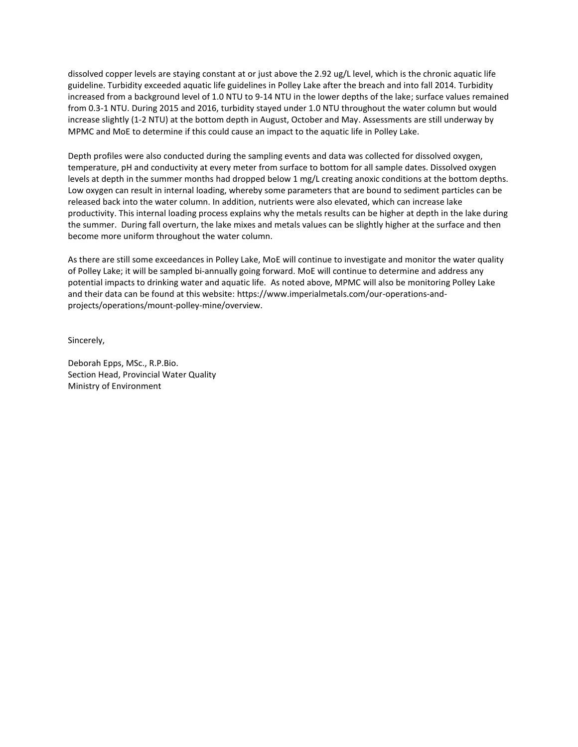dissolved copper levels are staying constant at or just above the 2.92 ug/L level, which is the chronic aquatic life guideline. Turbidity exceeded aquatic life guidelines in Polley Lake after the breach and into fall 2014. Turbidity increased from a background level of 1.0 NTU to 9-14 NTU in the lower depths of the lake; surface values remained from 0.3-1 NTU. During 2015 and 2016, turbidity stayed under 1.0 NTU throughout the water column but would increase slightly (1-2 NTU) at the bottom depth in August, October and May. Assessments are still underway by MPMC and MoE to determine if this could cause an impact to the aquatic life in Polley Lake.

Depth profiles were also conducted during the sampling events and data was collected for dissolved oxygen, temperature, pH and conductivity at every meter from surface to bottom for all sample dates. Dissolved oxygen levels at depth in the summer months had dropped below 1 mg/L creating anoxic conditions at the bottom depths. Low oxygen can result in internal loading, whereby some parameters that are bound to sediment particles can be released back into the water column. In addition, nutrients were also elevated, which can increase lake productivity. This internal loading process explains why the metals results can be higher at depth in the lake during the summer. During fall overturn, the lake mixes and metals values can be slightly higher at the surface and then become more uniform throughout the water column.

As there are still some exceedances in Polley Lake, MoE will continue to investigate and monitor the water quality of Polley Lake; it will be sampled bi-annually going forward. MoE will continue to determine and address any potential impacts to drinking water and aquatic life. As noted above, MPMC will also be monitoring Polley Lake and their data can be found at this website: https://www.imperialmetals.com/our-operations-andprojects/operations/mount-polley-mine/overview.

Sincerely,

Deborah Epps, MSc., R.P.Bio. Section Head, Provincial Water Quality Ministry of Environment